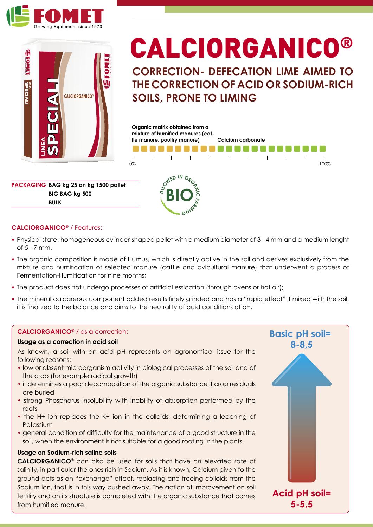



# CALCIORGANICO®

**CORRECTION- DEFECATION LIME AIMED TO THE CORRECTION OF ACID OR SODIUM-RICH SOILS, PRONE TO LIMING**



**PACKAGING BAG kg 25 on kg 1500 pallet BIG BAG kg 500 BULK**

### **CALCIORGANICO®** / Features:

**•** Physical state: homogeneous cylinder-shaped pellet with a medium diameter of 3 - 4 mm and a medium lenght of 5 - 7 mm.

**BIO**

**FA**<br>SAIM<sup>B</sup>

- **•** The organic composition is made of Humus, which is directly active in the soil and derives exclusively from the mixture and humification of selected manure (cattle and avicultural manure) that underwent a process of Fermentation-Humification for nine months;
- **•** The product does not undergo processes of artificial essication (through ovens or hot air);
- **•** The mineral calcareous component added results finely grinded and has a "rapid effect" if mixed with the soil; it is finalized to the balance and aims to the neutrality of acid conditions of pH.

#### **CALCIORGANICO®** / as a correction:

#### **Usage as a correction in acid soil**

As known, a soil with an acid pH represents an agronomical issue for the following reasons:

- low or absent microorganism activity in biological processes of the soil and of the crop (for example radical growth)
- it determines a poor decomposition of the organic substance if crop residuals are buried
- strong Phosphorus insolubility with inability of absorption performed by the roots
- the H+ ion replaces the K+ ion in the colloids, determining a leaching of Potassium
- general condition of difficulty for the maintenance of a good structure in the soil, when the environment is not suitable for a good rooting in the plants.

#### **Usage on Sodium-rich saline soils**

**CALCIORGANICO®** can also be used for soils that have an elevated rate of salinity, in particular the ones rich in Sodium. As it is known, Calcium given to the ground acts as an "exchange" effect, replacing and freeing colloids from the Sodium ion, that is in this way pushed away. The action of improvement on soil fertility and on its structure is completed with the organic substance that comes from humified manure.